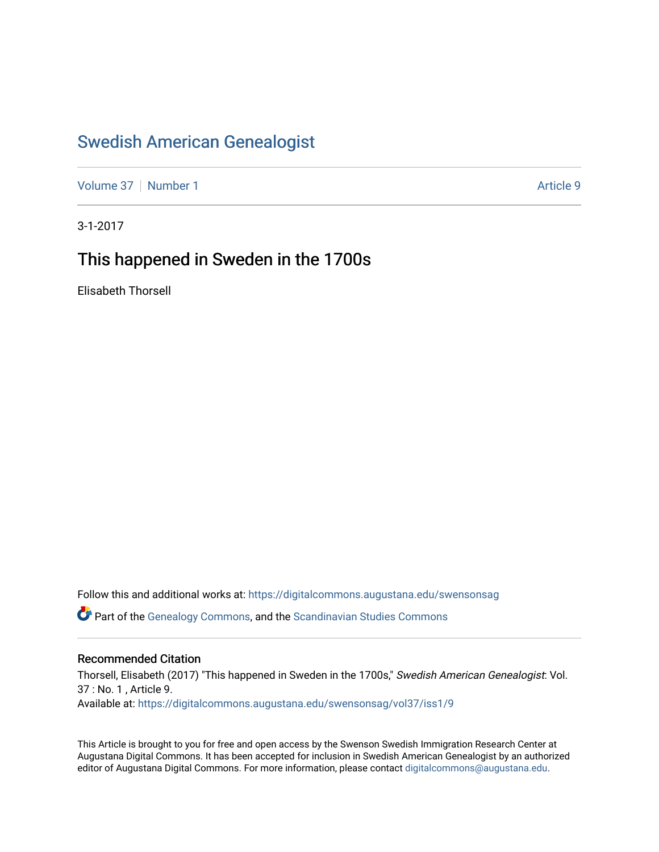## [Swedish American Genealogist](https://digitalcommons.augustana.edu/swensonsag)

[Volume 37](https://digitalcommons.augustana.edu/swensonsag/vol37) | [Number 1](https://digitalcommons.augustana.edu/swensonsag/vol37/iss1) Article 9

3-1-2017

## This happened in Sweden in the 1700s

Elisabeth Thorsell

Follow this and additional works at: [https://digitalcommons.augustana.edu/swensonsag](https://digitalcommons.augustana.edu/swensonsag?utm_source=digitalcommons.augustana.edu%2Fswensonsag%2Fvol37%2Fiss1%2F9&utm_medium=PDF&utm_campaign=PDFCoverPages) 

Part of the [Genealogy Commons,](http://network.bepress.com/hgg/discipline/1342?utm_source=digitalcommons.augustana.edu%2Fswensonsag%2Fvol37%2Fiss1%2F9&utm_medium=PDF&utm_campaign=PDFCoverPages) and the [Scandinavian Studies Commons](http://network.bepress.com/hgg/discipline/485?utm_source=digitalcommons.augustana.edu%2Fswensonsag%2Fvol37%2Fiss1%2F9&utm_medium=PDF&utm_campaign=PDFCoverPages)

## Recommended Citation

Thorsell, Elisabeth (2017) "This happened in Sweden in the 1700s," Swedish American Genealogist: Vol. 37 : No. 1 , Article 9. Available at: [https://digitalcommons.augustana.edu/swensonsag/vol37/iss1/9](https://digitalcommons.augustana.edu/swensonsag/vol37/iss1/9?utm_source=digitalcommons.augustana.edu%2Fswensonsag%2Fvol37%2Fiss1%2F9&utm_medium=PDF&utm_campaign=PDFCoverPages) 

This Article is brought to you for free and open access by the Swenson Swedish Immigration Research Center at Augustana Digital Commons. It has been accepted for inclusion in Swedish American Genealogist by an authorized editor of Augustana Digital Commons. For more information, please contact [digitalcommons@augustana.edu.](mailto:digitalcommons@augustana.edu)